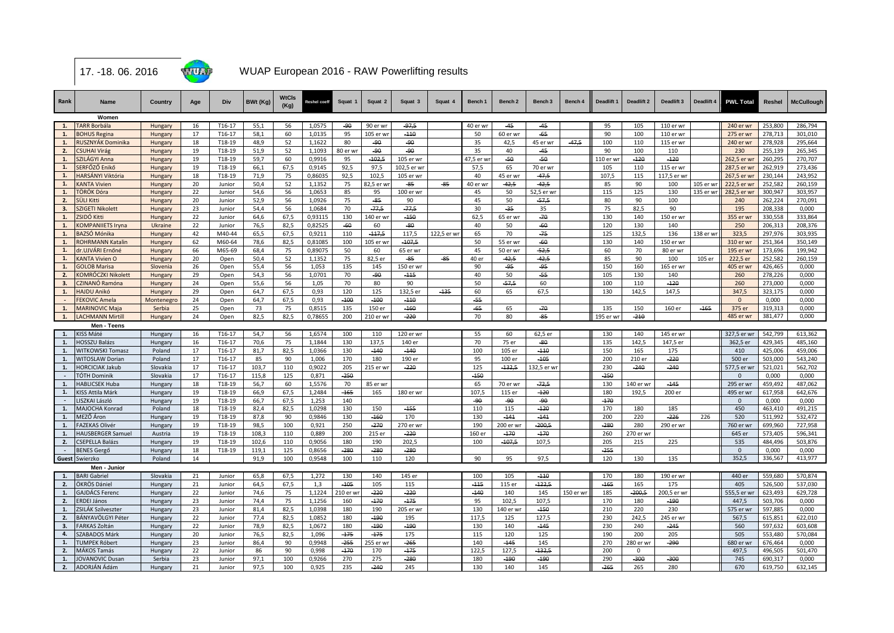

## WUAP European 2016 - RAW Powerlifting results

| Rank      | Name                     | Country    | Age | Div    | BWt (Kg) | <b>WtCls</b><br>(Kg) | Reshel coeff | Squat 1  | Squat 2   | Squat 3     | Squat 4    | Bench 1   | Bench <sub>2</sub> | Bench <sub>3</sub> | Bench 4   | Deadlift 1 | Deadlift 2 | Deadlift 3  | Deadlift 4 | <b>PWL Total</b> | Reshel  | <b>McCullough</b> |
|-----------|--------------------------|------------|-----|--------|----------|----------------------|--------------|----------|-----------|-------------|------------|-----------|--------------------|--------------------|-----------|------------|------------|-------------|------------|------------------|---------|-------------------|
|           | Women                    |            |     |        |          |                      |              |          |           |             |            |           |                    |                    |           |            |            |             |            |                  |         |                   |
| 1.        | <b>TARR Borbála</b>      | Hungary    | 16  | T16-17 | 55,1     | 56                   | 1,0575       | $-90$    | 90 er wr  | $-97,5$     |            | 40 er wr  | $-45$              | $-45$              |           | 95         | 105        | 110 er wr   |            | 240 er wr        | 253,800 | 286,794           |
| 1.        | <b>BOHUS Regina</b>      | Hungary    | 17  | T16-17 | 58,1     | 60                   | 1,0135       | 95       | 105 er wr | $-110$      |            | 50        | 60 er wr           | $-65$              |           | 90         | 100        | 110 er wr   |            | 275 er wr        | 278,713 | 301,010           |
| 1.        | RUSZNYÁK Dominika        | Hungary    | 18  | T18-19 | 48,9     | 52                   | 1,1622       | 80       | -90       | -90         |            | 35        | 42,5               | 45 er wr           | $-47,5$   | 100        | 110        | 115 er wr   |            | 240 er wr        | 278,928 | 295,664           |
| 2.        | <b>CSUHAI Virág</b>      | Hungary    | 19  | T18-19 | 51.9     | 52                   | 1.1093       | 80 er wr | $-90-$    | -90         |            | 35        | 40                 | $-45$              |           | 90         | 100        | 110         |            | 230              | 255.139 | 265.345           |
| 1.        | SZILÁGYI Anna            | Hungary    | 19  | T18-19 | 59,7     | 60                   | 0.9916       | 95       | $-102.5$  | 105 er wr   |            | 47,5 er w | $-50$              | $-50$              |           | 110 er w   | $-120$     | $-120$      |            | 262,5 er wr      | 260,295 | 270.707           |
| 1.        | SERFŐZŐ Enikő            | Hungary    | 19  | T18-19 | 66,1     | 67,5                 | 0,9145       | 92,5     | 97,5      | 102,5 er wi |            | 57,5      | 65                 | 70 er wr           |           | 105        | 110        | 115 er wr   |            | 287,5 er wr      | 262,919 | 273,436           |
| 1.        | HARSÁNYI Viktória        | Hungary    | 18  | T18-19 | 71,9     | 75                   | 0,86035      | 92,5     | 102,5     | 105 er wr   |            | 40        | 45 er wr           | $-47,5$            |           | 107,5      | 115        | 117,5 er wr |            | 267,5 er wr      | 230,144 | 243,952           |
| 1.        | <b>KANTA Vivien</b>      | Hungary    | 20  | Junior | 50,4     | 52                   | 1,1352       | 75       | 82,5 er w | -85         | -85        | 40 er wr  | $-42,5$            | $-42,5$            |           | 85         | 90         | 100         | 105 er wi  | 222,5 er wr      | 252,582 | 260,159           |
| 1.        | TÖRÖK Dóra               | Hungary    | 22  | Junior | 54,6     | 56                   | 1,0653       | 85       | 95        | 100 er wr   |            | 45        | 50                 | 52,5 er wr         |           | 115        | 125        | 130         | 135 er wr  | 282,5 er wr      | 300,947 | 303,957           |
| 2.        | SÜLI Kitti               | Hungary    | 20  | Junior | 52.9     | 56                   | 1.0926       | 75       | $-85-$    | 90          |            | 45        | 50                 | $-57.5$            |           | 80         | 90         | 100         |            | 240              | 262.224 | 270.091           |
| 3.        | SZIGETI Nikolett         | Hungary    | 23  | Junior | 54,4     | 56                   | 1,0684       | 70       | $-77.5$   | $-77.5$     |            | 30        | $-35$              | 35                 |           | 75         | 82,5       | 90          |            | 195              | 208,338 | 0,000             |
| 1.        | ZSIDÓ Kitti              | Hungary    | 22  | Junior | 64,6     | 67,5                 | 0,93115      | 130      | 140 er wr | $-150$      |            | 62,5      | 65 er wr           | $-70$              |           | 130        | 140        | 150 er wr   |            | 355 er wr        | 330,558 | 333,864           |
| 1.        | <b>KOMPANIIETS Iryna</b> | Ukraine    | 22  | Junior | 76,5     | 82,5                 | 0,82525      | $-60$    | 60        | $-80$       |            | 40        | 50                 | $-60$              |           | 120        | 130        | 140         |            | 250              | 206,313 | 208,376           |
| 1.        | BAZSÓ Mónika             | Hungary    | 42  | M40-44 | 65,5     | 67,5                 | 0,9211       | 110      | $-117,5$  | 117,5       | 122,5 er w | 65        | 70                 | $-75$              |           | 125        | 132,5      | 136         | 138 er wr  | 323,5            | 297,976 | 303,935           |
| 1.        | <b>ROHRMANN Katalin</b>  | Hungary    | 62  | M60-64 | 78,6     | 82.5                 | 0,81085      | 100      | 105 er wr | $-107.5$    |            | 50        | 55 er wi           | $-60$              |           | 130        | 140        | 150 er wr   |            | 310 er wr        | 251.364 | 350.149           |
| 1.        | dr.UJVÁRI Ernőné         | Hungary    | 66  | M65-69 | 68,4     | 75                   | 0,89075      | 50       | 60        | 65 er wr    |            | 45        | 50 er wr           | $-52,5$            |           | 60         | 70         | 80 er wr    |            | 195 er wr        | 173,696 | 199,942           |
| 1.        | <b>KANTA Vivien O</b>    | Hungary    | 20  | Open   | 50,4     | 52                   | 1,1352       | 75       | 82,5 er   | -85         | $-85$      | 40 er     | $-42,5$            | $-42,5$            |           | 85         | 90         | 100         | 105 er     | 222,5 er         | 252,582 | 260,159           |
| 1.        | <b>GOLOB Marisa</b>      | Slovenia   | 26  | Open   | 55,4     | 56                   | 1.053        | 135      | 145       | 150 er wr   |            | 90        | -95                | -95                |           | 150        | 160        | 165 er wr   |            | 405 er wr        | 426,465 | 0.000             |
| 2.        | KOMRÓCZKI Nikolett       | Hungary    | 29  | Open   | 54.3     | 56                   | 1,0701       | 70       | $-90$     | $-115$      |            | 40        | 50                 | $-55$              |           | 105        | 130        | 140         |            | 260              | 278,226 | 0.000             |
| 3.        | CZINANÓ Ramóna           | Hungary    | 24  | Open   | 55,6     | 56                   | 1,05         | 70       | 80        | 90          |            | 50        | $-57,5$            | 60                 |           | 100        | 110        | $-120$      |            | 260              | 273,000 | 0.000             |
| 1.        | <b>HAJDU Anikó</b>       | Hungary    | 29  | Open   | 64,7     | 67,5                 | 0,93         | 120      | 125       | 132,5 er    | $-135$     | 60        | 65                 | 67,5               |           | 130        | 142,5      | 147,5       |            | 347,5            | 323,175 | 0,000             |
|           | <b>FEKOVIC Amela</b>     | Montenegro | 24  | Open   | 64,7     | 67,5                 | 0,93         | $-100$   | $-100$    | $-110$      |            | -55       |                    |                    |           |            |            |             |            | $\Omega$         | 0,000   | 0,000             |
| 1.        | <b>MARINOVIC Maja</b>    | Serbia     | 25  | Open   | 73       | 75                   | 0,8515       | 135      | 150 er    | $-160$      |            | $-65$     | 65                 | $-70$              |           | 135        | 150        | 160 er      | $-165$     | 375 er           | 319,313 | 0,000             |
| 1.        | <b>LACHMANN Mirtill</b>  | Hungary    | 24  | Open   | 82,5     | 82,5                 | 0,78655      | 200      | 210 er wr | $-220$      |            | 70        | 80                 | -85                |           | 195 er wr  | $-210$     |             |            | 485 er wr        | 381,477 | 0,000             |
|           | Men - Teens              |            |     |        |          |                      |              |          |           |             |            |           |                    |                    |           |            |            |             |            |                  |         |                   |
| 1.        | KISS Máté                | Hungary    | 16  | T16-17 | 54,7     | 56                   | 1,6574       | 100      | 110       | 120 er wr   |            | 55        | 60                 | 62,5 er            |           | 130        | 140        | 145 er wr   |            | 327,5 er wr      | 542,799 | 613,362           |
| 1.        | <b>HOSSZU Balázs</b>     | Hungary    | 16  | T16-17 | 70,6     | 75                   | 1.1844       | 130      | 137,5     | 140 er      |            | 70        | 75 er              | $-80$              |           | 135        | 142,5      | 147,5 er    |            | 362,5 er         | 429.345 | 485,160           |
| 1.        | WITKOWSKI Tomasz         | Poland     | 17  | T16-17 | 81,7     | 82,5                 | 1,0366       | 130      | $-140$    | $-140$      |            | 100       | 105 er             | $-110$             |           | 150        | 165        | 175         |            | 410              | 425,006 | 459,006           |
| <b>1.</b> | <b>WITOSLAW Dorian</b>   | Poland     | 17  | T16-17 | 85       | 90                   | 1.006        | 170      | 180       | 190 er      |            | 95        | 100 er             | $-105$             |           | 200        | 210 er     | $-220$      |            | 500 er           | 503,000 | 543,240           |
| 1.        | <b>HORCICIAK Jakub</b>   | Slovakia   | 17  | T16-17 | 103,7    | 110                  | 0,9022       | 205      | 215 er wr | $-220$      |            | 125       | $-132,5$           | 132,5 er wr        |           | 230        | $-240$     | $-240$      |            | 577,5 er wr      | 521,021 | 562,702           |
| $\sim$    | TÓTH Dominik             | Slovakia   | 17  | T16-17 | 115,8    | 125                  | 0,871        | $-250$   |           |             |            | $-150$    |                    |                    |           | $-250$     |            |             |            | $\Omega$         | 0,000   | 0,000             |
| 1.        | <b>HABLICSEK Huba</b>    | Hungary    | 18  | T18-19 | 56,7     | 60                   | 1,5576       | 70       | 85 er wr  |             |            | 65        | 70 er wr           | $-72,5$            |           | 130        | 140 er wr  | $-145$      |            | 295 er wr        | 459,492 | 487,062           |
| 1.        | KISS Attila Márk         | Hungary    | 19  | T18-19 | 66,9     | 67,5                 | 1,2484       | $-165$   | 165       | 180 er wr   |            | 107.5     | 115 er             | $-120$             |           | 180        | 192.5      | 200 er      |            | 495 er wr        | 617,958 | 642,676           |
| $\sim$    | ISZKAI László            | Hungary    | 19  | T18-19 | 66.7     | 67.5                 | 1,253        | 140      |           |             |            | $-90-$    | -90                | $-90$              |           | $-170$     |            |             |            | $\Omega$         | 0.000   | 0.000             |
| 1.        | MAJOCHA Konrad           | Poland     | 18  | T18-19 | 82,4     | 82,5                 | 1,0298       | 130      | 150       | $-455$      |            | 110       | 115                | $-120$             |           | 170        | 180        | 185         |            | 450              | 463,410 | 491,215           |
| 1.        | MEZŐ Áron                | Hungary    | 19  | T18-19 | 87,8     | 90                   | 0,9846       | 130      | $-160$    | 170         |            | 130       | $-141$             | $-141$             |           | 200        | 220        | $-226$      | 226        | 520              | 511,992 | 532,472           |
| 1.        | <b>FAZEKAS Olivér</b>    | Hungary    | 19  | T18-19 | 98,5     | 100                  | 0,921        | 250      | $-270$    | 270 er wr   |            | 190       | 200 er wi          | $-200,5$           |           | $-280$     | 280        | 290 er wr   |            | 760 er wr        | 699,960 | 727,958           |
| 1.        | <b>HAUSBERGER Samuel</b> | Austria    | 19  | T18-19 | 108,3    | 110                  | 0,889        | 200      | 215 er    | $-220$      |            | 160 er    | $-170$             | $-170$             |           | 260        | 270 er wr  |             |            | 645 er           | 573,405 | 596,341           |
| 2.        | CSEPELLA Balázs          | Hungary    | 19  | T18-19 | 102.6    | 110                  | 0.9056       | 180      | 190       | 202.5       |            | 100       | $-407.5$           | 107.5              |           | 205        | 215        | 225         |            | 535              | 484.496 | 503.876           |
| $\sim$    | <b>BENES Gergő</b>       | Hungary    | 18  | T18-19 | 119.1    | 125                  | 0,8656       | $-280$   | $-280$    | $-280$      |            |           |                    |                    |           | $-255$     |            |             |            | $\mathbf{0}$     | 0.000   | 0,000             |
|           | Guest Swierzko           | Poland     | 14  |        | 91,9     | 100                  | 0,9548       | 100      | 110       | 120         |            | 90        | 95                 | 97,5               |           | 120        | 130        | 135         |            | 352,5            | 336,567 | 413,977           |
|           | Men - Junior             |            |     |        |          |                      |              |          |           |             |            |           |                    |                    |           |            |            |             |            |                  |         |                   |
| 1.        | <b>BARI Gabriel</b>      | Slovakia   | 21  | Junior | 65,8     | 67,5                 | 1.272        | 130      | 140       | 145 er      |            | 100       | 105                | $-110$             |           | 170        | 180        | 190 er wr   |            | 440 er           | 559,680 | 570,874           |
| 2.        | ÖKRÖS Dániel             | Hungary    | 21  | Junior | 64.5     | 67,5                 | 1.3          | $-105$   | 105       | 115         |            | $-115$    | 115 er             | $-122,5$           |           | $-165$     | 165        | 175         |            | 405              | 526,500 | 537,030           |
| 1.        | <b>GAJDÁCS Ferenc</b>    | Hungary    | 22  | Junior | 74,6     | 75                   | 1,1224       | 210 er w | $-220$    | $-220$      |            | $-140$    | 140                | 145                | 150 er wi | 185        | $-200,5$   | 200,5 er w  |            | 555,5 er wr      | 623,493 | 629,728           |
| 2.        | ERDEI János              | Hungary    | 23  | Junior | 74,4     | 75                   | 1,1256       | 160      | $-170$    | $-175$      |            | 95        | 102,5              | 107,5              |           | 170        | 180        | $-190$      |            | 447,5            | 503,706 | 0,000             |
| 1.        | ZSILÁK Szilveszter       | Hungary    | 23  | Junior | 81,4     | 82,5                 | 1,0398       | 180      | 190       | 205 er wr   |            | 130       | 140 er wr          | $-150$             |           | 210        | 220        | 230         |            | 575 er wr        | 597,885 | 0.000             |
| 2.        | BÁNYAVÖLGYI Péter        | Hungary    | 22  | Junior | 77.4     | 82.5                 | 1.0852       | 180      | $-190$    | 195         |            | 117.5     | 125                | 127.5              |           | 230        | 242.5      | 245 er wr   |            | 567.5            | 615.851 | 622.010           |
| 3.        | <b>FARKAS Zoltán</b>     | Hungary    | 22  | Junior | 78.9     | 82.5                 | 1.0672       | 180      | $-190$    | $-190$      |            | 130       | 140                | $-145$             |           | 230        | 240        | $-245$      |            | 560              | 597.632 | 603.608           |
| 4.        | <b>SZABADOS Márl</b>     | Hungary    | 20  | Junior | 76,5     | 82,5                 | 1,096        | $-175$   | $-175$    | 175         |            | 115       | 120                | 125                |           | 190        | 200        | 205         |            | 505              | 553,480 | 570,084           |
| 1.        | <b>TUMPEK Róbert</b>     | Hungary    | 23  | Junior | 86,4     | 90                   | 0,9948       | $-255$   | 255 er wr | $-265$      |            | 140       | $-145$             | 145                |           | 270        | 280 er wr  | $-290$      |            | 680 er wr        | 676,464 | 0.000             |
| 2.        | MÁKOS Tamás              | Hungary    | 22  | Junior | 86       | 90                   | 0.998        | $-170$   | 170       | $-175$      |            | 122,5     | 127,5              | $-132.5$           |           | 200        | $\Omega$   |             |            | 497,5            | 496,505 | 501,470           |
| 1.        | <b>JOVANOVIC Dusan</b>   | Serbia     | 23  | Junior | 97.1     | 100                  | 0.9266       | 270      | 275       | $-280$      |            | 180       | $-190$             | $-190$             |           | 290        | $-300$     | $-300$      |            | 745              | 690.317 | 0.000             |
| 2.        | ADORJÁN Ádám             | Hungary    | 21  | Junior | 97.5     | 100                  | 0.925        | 235      | $-240$    | 245         |            | 130       | 140                | 145                |           | $-265$     | 265        | 280         |            | 670              | 619.750 | 632.145           |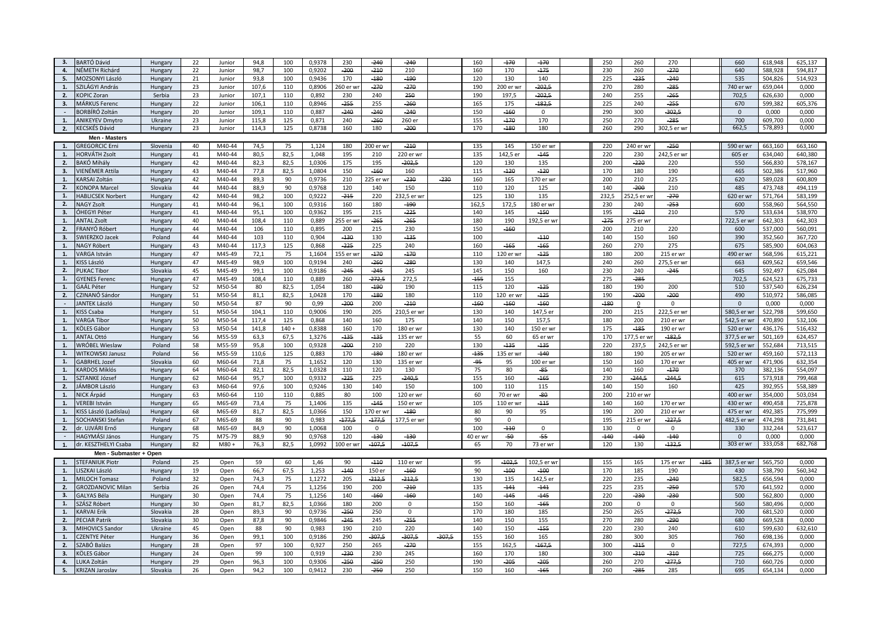| 3.               | BARTÓ Dávid              | Hungary           | 22 | Junior | 94.8         | 100     | 0.9378 | 230           | $-240$    | $-240$             |          | 160      | $-170$        | $-170$      | 250    | 260       | 270         |        | 660          | 618,948 | 625.137 |
|------------------|--------------------------|-------------------|----|--------|--------------|---------|--------|---------------|-----------|--------------------|----------|----------|---------------|-------------|--------|-----------|-------------|--------|--------------|---------|---------|
| 4.               | NÉMETH Richárd           | Hungary           | 22 | Junior | 98,7         | 100     | 0,9202 | $-200$        | $-210$    | 210                |          | 160      | 170           | $-175$      | 230    | 260       | $-270$      |        | 640          | 588,928 | 594,817 |
| 5.               | MOZSONYI László          | Hungary           | 21 | Junior | 93,8         | 100     | 0.9436 | 170           | $-180$    | $-190$             |          | 120      | 130           | 140         | 225    | $-235$    | $-240$      |        | 535          | 504,826 | 514,923 |
| 1.               | SZILÁGYI András          | Hungary           | 23 | Junior | 107,6        | 110     | 0,8906 | 260 er wr     | $-270$    | $-270$             |          | 190      | 200 er wr     | $-202,5$    | 270    | 280       | $-285$      |        | 740 er wr    | 659,044 | 0,000   |
| 2.               | <b>KOPIC Zoran</b>       | Serbia            | 23 | Junior | 107,1        | 110     | 0,892  | 230           | 240       | 250                |          | 190      | 197,5         | $-202,5$    | 240    | 255       | $-265$      |        | 702,5        | 626,630 | 0,000   |
| 3.               | MÁRKUS Ferenc            | Hungary           | 22 | Junior | 106,1        | 110     | 0,8946 | $-255$        | 255       | $-260$             |          | 165      | 175           | $-182.5$    | 225    | 240       | $-255$      |        | 670          | 599.382 | 605,376 |
| $\sim$           | BORBÍRÓ Zoltán           | Hungary           | 20 | Junior | 109,1        | 110     | 0,887  | $-240$        | $-240$    | $-240$             |          | 150      | $-160$        | 0           | 290    | 300       | $-302,5$    |        | $\mathbf{0}$ | 0,000   | 0,000   |
| 1.               | <b>ANIKEYEV Dmytro</b>   | Ukraine           | 23 | Junior | 115,8        | 125     | 0,871  | 240           | $-260$    | 260 er             |          | 155      | $-170$        | 170         | 250    | 270       | $-285$      |        | 700          | 609,700 | 0,000   |
| 2.               | <b>KECSKÉS Dávid</b>     |                   | 23 | Junior | 114,3        | 125     | 0,8738 | 160           | 180       | $-200$             |          | 170      | $-180$        | 180         | 260    | 290       | 302,5 er wr |        | 662,5        | 578,893 | 0,000   |
|                  |                          | Hungary           |    |        |              |         |        |               |           |                    |          |          |               |             |        |           |             |        |              |         |         |
|                  | Men - Masters            |                   |    |        |              |         |        |               |           |                    |          |          |               |             |        |           |             |        |              |         |         |
| $\overline{1}$ . | <b>GREGORCIC Erni</b>    | Slovenia          | 40 | M40-44 | 74,5         | 75      | 1,124  | 180           | 200 er wr | $-210$             |          | 135      | 145           | 150 er wr   | 220    | 240 er wr | $-250$      |        | 590 er wr    | 663,160 | 663,160 |
| 1.               | HORVÁTH Zsolt            | Hungary           | 41 | M40-44 | 80,5         | 82,5    | 1,048  | 195           | 210       | 220 er wr          |          | 135      | 142,5 er      | $-145$      | 220    | 230       | 242.5 er w  |        | 605 er       | 634,040 | 640,380 |
| 2.               | BAKÓ Mihály              | Hungary           | 42 | M40-44 | 82,3         | 82,5    | 1,0306 | 175           | 195       | $-202,5$           |          | 120      | 130           | 135         | 200    | $-220$    | 220         |        | 550          | 566,830 | 578,167 |
| 3.               | VIENÉMER Attila          | Hungary           | 43 | M40-44 | 77.8         | 82.5    | 1,0804 | 150           | -160      | 160                |          | 115      | $-120$        | $-120$      | 170    | 180       | 190         |        | 465          | 502.386 | 517.960 |
| 1.               | KARSAI Zoltán            | Hungary           | 42 | M40-44 | 89,3         | 90      | 0,9736 | 210           | 225 er wr | $-230$             | $-230$   | 160      | 165           | 170 er wr   | 200    | 210       | 225         |        | 620          | 589,028 | 600,809 |
| 2.               | <b>KONOPA Marcel</b>     | Slovakia          | 44 | M40-44 | 88,9         | 90      | 0,9768 | 120           | 140       | 150                |          | 110      | 120           | 125         | 140    | $-200$    | 210         |        | 485          | 473,748 | 494,119 |
| 1.               | <b>HABLICSEK Norbert</b> | Hungary           | 42 | M40-44 | 98,2         | 100     | 0,9222 | $-215$        | 220       | 232,5 er wr        |          | 125      | 130           | 135         | 232.5  | 52.5 er w | $-270$      |        | 620 er wi    | 571,764 | 583,199 |
| 2.               | <b>NAGY Zsolt</b>        | Hungary           | 41 | M40-44 | 96,1         | 100     | 0,9316 | 160           | 180       | $-190$             |          | 162,5    | 172,5         | 180 er wr   | 230    | 240       | $-253$      |        | 600          | 558,960 | 564,550 |
| 3.               | ÓHEGYI Péter             | Hungary           | 41 | M40-44 | 95,1         | 100     | 0,9362 | 195           | 215       | $-225$             |          | 140      | 145           | $-150$      | 195    | $-210$    | 210         |        | 570          | 533,634 | 538,970 |
| 1.               | <b>ANTAL Zsolt</b>       | Hungary           | 40 | M40-44 | 108,4        | 110     | 0,889  | 255 er w      | $-265$    | $-265$             |          | 180      | 190           | 192,5 er wr | $-275$ | 275 er wr |             |        | 722,5 er wr  | 642,303 | 642,303 |
| 2.               | FRANYÓ Róbert            | Hungary           | 44 | M40-44 | 106          | 110     | 0,895  | 200           | 215       | 230                |          | 150      | $-160$        |             | 200    | 210       | 220         |        | 600          | 537,000 | 560,091 |
| 3.               | SWIERZKO Jacek           | Poland            | 44 | M40-44 | 103          | 110     | 0,904  | $-130$        | 130       | $-135$             |          | 100      |               | $-110$      | 140    | 150       | 160         |        | 390          | 352,560 | 367,720 |
| 1.               | NAGY Róbert              | Hungary           | 43 | M40-44 | 117,3        | 125     | 0,868  | $-225$        | 225       | 240                |          | 160      | $-165$        | $-165$      | 260    | 270       | 275         |        | 675          | 585,900 | 604,063 |
| 1.               | VARGA István             | Hungary           | 47 | M45-49 | 72,1         | 75      | 1,1604 | 155 er wr     | $-170$    | $-170$             |          | 110      | 120 er wi     | $-125$      | 180    | 200       | 215 er wr   |        | 490 er wr    | 568,596 | 615,221 |
| 1.               | KISS László              | Hungary           | 47 | M45-49 | 98,9         | 100     | 0.9194 | 240           | $-260$    | $-280$             |          | 130      | 140           | 147,5       | 240    | 260       | 275,5 er wr |        | 663          | 609,562 | 659,546 |
| 2.               | <b>PUKAC Tibor</b>       | Slovakia          | 45 | M45-49 | 99,1         | 100     | 0,9186 | $-245$        | $-245$    | 245                |          | 145      | 150           | 160         | 230    | 240       | $-245$      |        | 645          | 592,497 | 625,084 |
| 1.               | <b>GYENES Ferend</b>     | Hungary           | 47 | M45-49 | 108,4        | 110     | 0.889  | 260           | $-272,5$  | 272,5              |          | $-155$   | 155           |             | 275    | $-285$    |             |        | 702,5        | 624,523 | 675,733 |
| 1.               | GAÁL Péter               | Hungary           | 52 | M50-54 | 80           | 82,5    | 1,054  | 180           | $-190$    | 190                |          | 115      | 120           | $-125$      | 180    | 190       | 200         |        | 510          | 537,540 | 626,234 |
| 2.               | CZINANÓ Sándor           | Hungary           | 51 | M50-54 | 81,1         | 82,5    | 1,0428 | 170           | $-180$    | 180                |          | 110      | 120 er wi     | $-125$      | 190    | $-200$    | $-200$      |        | 490          | 510,972 | 586,085 |
| $\sim$           | <b>JANTEK László</b>     | Hungary           | 50 | M50-54 | 87           | 90      | 0.99   | $-200$        | 200       | $-210$             |          | -160     | $-160$        | $-160$      | $-180$ | $\Omega$  | $\Omega$    |        | $\Omega$     | 0,000   | 0,000   |
| 1.               | KISS Csaba               | Hungary           | 51 | M50-54 | 104,1        | 110     | 0,9006 | 190           | 205       | 210,5 er wr        |          | 130      | 140           | 147,5 er    | 200    | 215       | 222,5 er wr |        | 580,5 er wr  | 522,798 | 599,650 |
| 1.               | <b>VARGA Tibor</b>       | Hungary           | 50 | M50-54 | 117,4        | 125     | 0,868  | 140           | 160       | 175                |          | 140      | 150           | 157,5       | 180    | 200       | 210 er wr   |        | 542,5 er wr  | 470,890 | 532,106 |
| 1.               | KÖLES Gábor              | Hungary           | 53 | M50-54 | 141,8        | $140 +$ | 0,8388 | 160           | 170       | 180 er wr          |          | 130      | 140           | 150 er wr   | 175    | $-185$    | 190 er wr   |        | 520 er wr    | 436,176 | 516,432 |
| 1.               | ANTAL Ottó               | Hungary           | 56 | M55-59 | 63,3         | 67,5    | 1,3276 | $-135$        | $-135$    | 135 er wr          |          | 55       | 60            | 65 er wr    | 170    | 77,5 er w | $-182,5$    |        | 377,5 er wr  | 501,169 | 624,457 |
| 1.               | WRÓBEL Wieslaw           | Poland            | 58 | M55-59 | 95,8         | 100     | 0,9328 | $-200$        | 210       | 220                |          | 130      | $-135$        | $-135$      | 220    | 237,5     | 242,5 er wi |        | 592,5 er wr  | 552,684 | 713,515 |
| 1.               | WITKOWSKI Janusz         | Poland            | 56 | M55-59 | 110,6        | 125     | 0,883  | 170           | $-180$    | 180 er wr          |          | $-135$   | 135 er wr     | $-140$      | 180    | 190       | 205 er wr   |        | 520 er wr    | 459,160 | 572,113 |
| 1.               | GABRHEL Jozef            | Slovakia          | 60 | M60-64 | 71,8         | 75      | 1,1652 | 120           | 130       | 135 er wr          |          | -95      | 95            | 100 er wr   | 150    | 160       | 170 er wr   |        | 405 er wr    | 471,906 | 632,354 |
| 1.               | <b>KARDOS Miklós</b>     | Hungary           | 64 | M60-64 | 82,1         | 82,5    | 1,0328 | 110           | 120       | 130                |          | 75       | 80            | $-85$       | 140    | 160       | $-170$      |        | 370          | 382,136 | 554,097 |
| 1.               | SZTANKE József           | Hungary           | 62 | M60-64 | 95,7         | 100     | 0,9332 | $-225$        | 225       | $-240,5$           |          | 155      | 160           | $-165$      | 230    | $-244,5$  | $-244,5$    |        | 615          | 573,918 | 799,468 |
| 2.               | IÁMBOR László            | Hungary           | 63 | M60-64 | 97,6         | 100     | 0,9246 | 130           | 140       | 150                |          | 100      | 110           | 115         | 140    | 150       | 160         |        | 425          | 392,955 | 558,389 |
| 1.               | NICK Árpád               | Hungary           | 63 | M60-64 | 110          | 110     | 0,885  | 80            | 100       | 120 er wr          |          | 60       | 70 er wr      | $-80$       | 200    | 210 er wr |             |        | 400 er wr    | 354,000 | 503,034 |
| 1.               | VEREBI István            | Hungary           | 65 | M65-69 | 73,4         | 75      | 1,1406 | 135           | $-145$    | 150 er wr          |          | 105      | 110 er wr     | $-115$      | 140    | 160       | 170 er wr   |        | 430 er wr    | 490,458 | 725,878 |
| 1.               | KISS László (Ladislau)   | Hungary           | 68 | M65-69 | 81,7         | 82,5    | 1,0366 | 150           | 170 er w  | $-180$             |          | 80       | 90            | 95          | 190    | 200       | 210 er wr   |        | 475 er wr    | 492,385 | 775,999 |
| 1.               | <b>SOCHANSKI Stefan</b>  | Poland            | 67 | M65-69 | 88           | 90      | 0,983  | $-177,5$      | $-177,5$  | 177,5 er wr        |          | 90       | $\mathbf 0$   |             | 195    | 215 er wr | $-227,5$    |        | 482,5 er wr  | 474,298 | 731,841 |
| 2.               | dr. UJVÁRI Ernő          | Hungary           | 68 | M65-69 | 84,9         | 90      | 1,0068 | 100           | $\Omega$  |                    |          | 100      | $-110$        | $\Omega$    | 130    | $\Omega$  | $\Omega$    |        | 330          | 332,244 | 523,617 |
| $\sim$           | <b>HAGYMÁSI János</b>    | Hungary           | 75 | M75-79 | 88,9         | 90      | 0.9768 | 120           | $-130$    | $-130$             |          | 40 er wr | -50           | -55         | $-140$ | $-140$    | $-140$      |        | $\Omega$     | 0.000   | 0,000   |
| 1.               | dr. KESZTHELYI Csaba     | Hungary           | 82 | M80+   | 76,3         | 82,5    | 1,0992 | 100 er wi     | $-107,5$  | $-107,5$           |          | 65       | 70            | 73 er wr    | 120    | 130       | $-132,5$    |        | 303 er wr    | 333,058 | 682,768 |
|                  | Men - Submaster + Open   |                   |    |        |              |         |        |               |           |                    |          |          |               |             |        |           |             |        |              |         |         |
| 1.               | <b>STEFANIUK Piotr</b>   | Poland            | 25 | Open   | 59           | 60      | 1,46   | 90            | $-110$    | 110 er wr          |          | 95       | $-102.5$      | 102,5 er wr | 155    | 165       | 175 er wr   | $-185$ | 387,5 er wr  | 565,750 | 0,000   |
| 1.               | LISZKAI László           |                   | 19 |        |              | 67,5    | 1,253  |               | 150 er    |                    |          | 90       |               | $-100$      | 170    | 185       | 190         |        | 430          | 538,790 | 560,342 |
| 1.               | <b>MILOCH Tomasz</b>     | Hungary<br>Poland | 32 | Open   | 66,7<br>74,3 | 75      | 1,1272 | $-140$<br>205 | $-212,5$  | $-160$<br>$-212,5$ |          | 130      | $-100$<br>135 |             | 220    | 235       | $-240$      |        | 582.5        | 656,594 |         |
|                  |                          |                   |    | Open   |              |         |        |               |           |                    |          |          |               | 142,5 er    |        |           |             |        |              |         | 0,000   |
| 2.               | <b>GROZDANOVIC Milan</b> | Serbia            | 26 | Open   | 74,4         | 75      | 1,1256 | 190           | 200       | $-210$             |          | 135      | $-141$        | $-141$      | 225    | 235       | $-250$      |        | 570          | 641,592 | 0,000   |
| 3.               | <b>GALYAS Béla</b>       | Hungary           | 30 | Open   | 74,4         | 75      | 1,1256 | 140           | $-160$    | $-160$             |          | 140      | $-145$        | $-145$      | 220    | -230      | -230        |        | 500          | 562,800 | 0,000   |
| 1.               | SZÁSZ Róbert             | Hungary           | 30 | Open   | 81,7         | 82,5    | 1,0366 | 180           | 200       | $\mathbf{0}$       |          | 150      | 160           | $-165$      | 200    | $\Omega$  | $\mathbf 0$ |        | 560          | 580,496 | 0.000   |
| 1.               | <b>KARVAI Erik</b>       | Slovakia          | 28 | Open   | 89.3         | 90      | 0.9736 | $-250$        | 250       | $\mathbf 0$        |          | 170      | 180           | 185         | 250    | 265       | $-272,5$    |        | 700<br>680   | 681,520 | 0.000   |
| 2.               | <b>PECIAR Patrik</b>     | Slovakia          | 30 | Open   | 87.8         | 90      | 0.9846 | $-245$        | 245       | $-255$             |          | 140      | 150           | 155         | 270    | 280       | -290        |        |              | 669,528 | 0,000   |
| 3.               | <b>MIHOVICS Sandor</b>   | Ukraine           | 45 | Open   | 88           | 90      | 0,983  | 190           | 210       | 220                |          | 140      | 150           | $-155$      | 220    | 230       | 240         |        | 610          | 599,630 | 632,610 |
| 1.               | <b>CZENTYE Péter</b>     | Hungary           | 36 | Open   | 99,1         | 100     | 0,9186 | 290           | $-307,5$  | $-307,5$           | $-307,5$ | 155      | 160           | 165         | 280    | 300       | 305         |        | 760          | 698,136 | 0,000   |
| 2.               | SZABÓ Balázs             | Hungary           | 28 | Open   | 97           | 100     | 0.927  | 250           | 265       | $-270$             |          | 155      | 162,5         | $-167,5$    | 300    | $-315$    | $\mathbf 0$ |        | 727,5        | 674,393 | 0.000   |
| 3.               | KÖLES Gábor              | Hungary           | 24 | Open   | 99           | 100     | 0.919  | $-230$        | 230       | 245                |          | 160      | 170           | 180         | 300    | $-310$    | $-310$      |        | 725          | 666,275 | 0.000   |
| 4.               | LUKA Zoltán              | Hungary           | 29 | Open   | 96,3         | 100     | 0,9306 | $-250$        | $-250$    | 250                |          | 190      | $-205$        | $-205$      | 260    | 270       | $-277,5$    |        | 710          | 660,726 | 0,000   |
| 5.               | <b>KRIZAN Jaroslav</b>   | Slovakia          | 26 | Open   | 94,2         | 100     | 0,9412 | 230           | $-250$    | 250                |          | 150      | 160           | $-165$      | 260    | $-285$    | 285         |        | 695          | 654,134 | 0,000   |